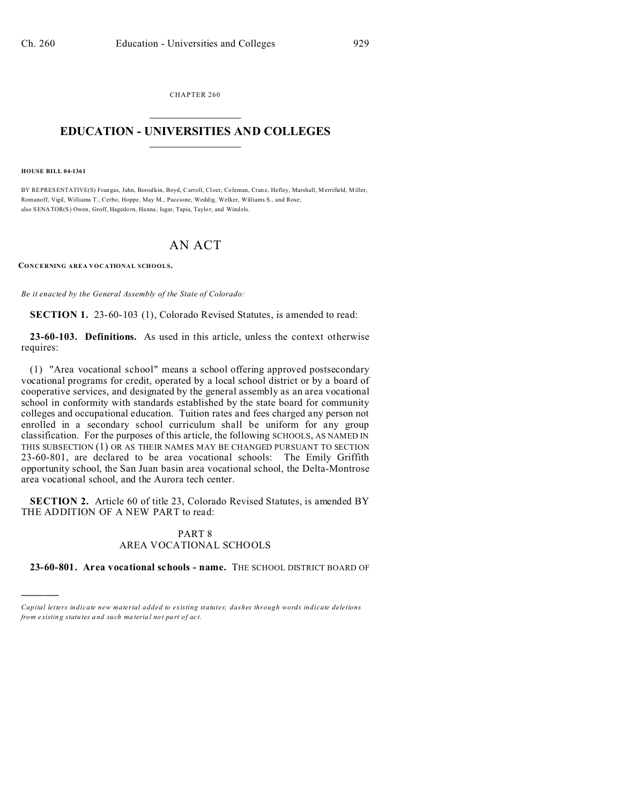CHAPTER 260  $\overline{\phantom{a}}$  , where  $\overline{\phantom{a}}$ 

## **EDUCATION - UNIVERSITIES AND COLLEGES**  $\frac{1}{2}$

**HOUSE BILL 04-1361**

)))))

BY REPRESENTATIVE(S) Fran gas, Jahn, Borodkin, Boyd, Carroll, Cloer, Coleman, Cran e, Hefley, Marshall, Merrifield, Miller, Romanoff, Vigil, Williams T., Cerbo, Hoppe, May M., Paccione, Weddig, Welker, Williams S., and Rose; also SENATOR(S) Owen, Groff, Hagedorn, Hanna, Isgar, Tapia, Taylor, and Windels.

## AN ACT

**CONCERNING AREA VOCATIONAL SCHOOLS.**

*Be it enacted by the General Assembly of the State of Colorado:*

**SECTION 1.** 23-60-103 (1), Colorado Revised Statutes, is amended to read:

**23-60-103. Definitions.** As used in this article, unless the context otherwise requires:

(1) "Area vocational school" means a school offering approved postsecondary vocational programs for credit, operated by a local school district or by a board of cooperative services, and designated by the general assembly as an area vocational school in conformity with standards established by the state board for community colleges and occupational education. Tuition rates and fees charged any person not enrolled in a secondary school curriculum shall be uniform for any group classification. For the purposes of this article, the following SCHOOLS, AS NAMED IN THIS SUBSECTION (1) OR AS THEIR NAMES MAY BE CHANGED PURSUANT TO SECTION 23-60-801, are declared to be area vocational schools: The Emily Griffith opportunity school, the San Juan basin area vocational school, the Delta-Montrose area vocational school, and the Aurora tech center.

**SECTION 2.** Article 60 of title 23, Colorado Revised Statutes, is amended BY THE ADDITION OF A NEW PART to read:

## PART 8 AREA VOCATIONAL SCHOOLS

**23-60-801. Area vocational schools - name.** THE SCHOOL DISTRICT BOARD OF

*Capital letters indicate new material added to existing statutes; dashes through words indicate deletions from e xistin g statu tes a nd such ma teria l no t pa rt of ac t.*